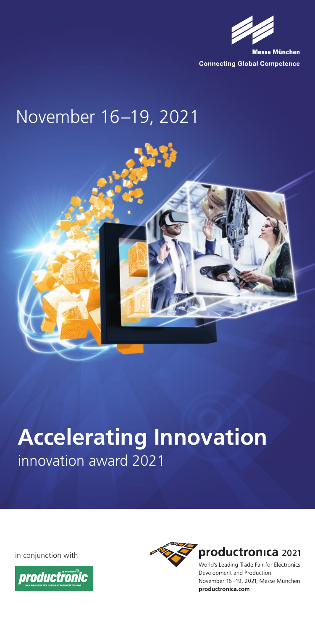

**Connecting Global Competence** 

# November 16–19, 2021



## innovation award 2021 **Accelerating Innovation**

in conjunction with





### productronica 2021

World's Leading Trade Fair for Electronics Development and Production November 16-19, 2021. Messe München productronica.com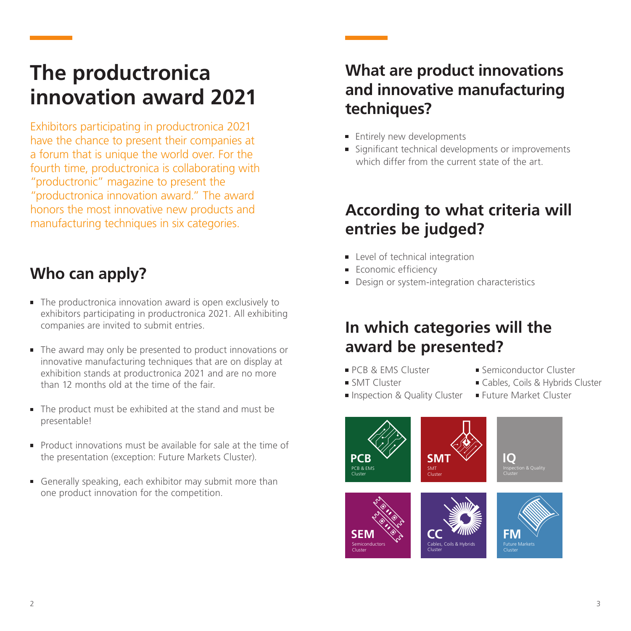# **The productronica innovation award 2021**

Exhibitors participating in productronica 2021 have the chance to present their companies at a forum that is unique the world over. For the fourth time, productronica is collaborating with "productronic" magazine to present the "productronica innovation award." The award honors the most innovative new products and manufacturing techniques in six categories.

### **Who can apply?**

- The productronica innovation award is open exclusively to exhibitors participating in productronica 2021. All exhibiting companies are invited to submit entries.
- The award may only be presented to product innovations or innovative manufacturing techniques that are on display at exhibition stands at productronica 2021 and are no more than 12 months old at the time of the fair.
- The product must be exhibited at the stand and must be presentable!
- **Product innovations must be available for sale at the time of** the presentation (exception: Future Markets Cluster).
- Generally speaking, each exhibitor may submit more than one product innovation for the competition.

### **What are product innovations and innovative manufacturing techniques?**

- **Entirely new developments**
- Significant technical developments or improvements which differ from the current state of the art.

### **According to what criteria will entries be judged?**

- Level of technical integration
- Economic efficiency
- Design or system-integration characteristics

### **In which categories will the award be presented?**

PCB & FMS Cluster

**SMT Cluster** 

- **Semiconductor Cluster**
- Cables, Coils & Hybrids Cluster
- **Inspection & Quality Cluster**
- **Future Market Cluster**

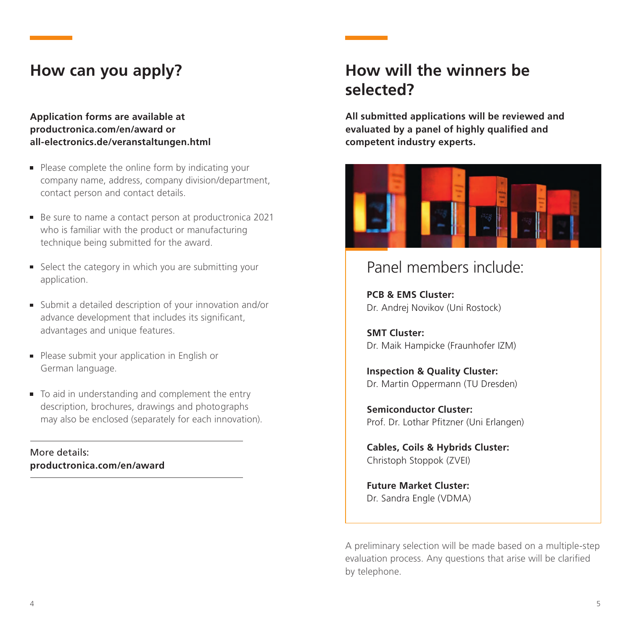#### **Application forms are available at [productronica.com/en/award](https://www.productronica.com/en/award) or [all-electronics.de/veranstaltungen.html](https://www.all-electronics.de/veranstaltungen/productronica-innovation-award/registration.html)**

- Please complete the online form by indicating your company name, address, company division/department, contact person and contact details.
- Be sure to name a contact person at productronica 2021 who is familiar with the product or manufacturing technique being submitted for the award.
- Select the category in which you are submitting your application.
- Submit a detailed description of your innovation and/or advance development that includes its significant, advantages and unique features.
- Please submit your application in English or German language.
- To aid in understanding and complement the entry description, brochures, drawings and photographs may also be enclosed (separately for each innovation).

More details: **[productronica.com/en/award](https://www.productronica.com/en/award)**

### **How can you apply? How will the winners be selected?**

**All submitted applications will be reviewed and evaluated by a panel of highly qualified and competent industry experts.**



### Panel members include:

**PCB & EMS Cluster:**  Dr. Andrej Novikov (Uni Rostock)

**SMT Cluster:** Dr. Maik Hampicke (Fraunhofer IZM)

**Inspection & Quality Cluster:** Dr. Martin Oppermann (TU Dresden)

**Semiconductor Cluster:** Prof. Dr. Lothar Pfitzner (Uni Erlangen)

**Cables, Coils & Hybrids Cluster:** Christoph Stoppok (ZVEI)

**Future Market Cluster:** Dr. Sandra Engle (VDMA)

A preliminary selection will be made based on a multiple-step evaluation process. Any questions that arise will be clarified by telephone.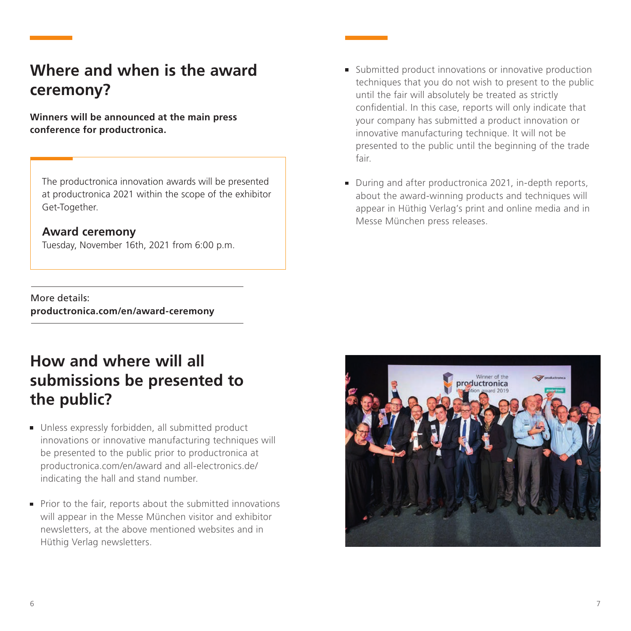### **Where and when is the award ceremony?**

**Winners will be announced at the main press conference for productronica.**

The productronica innovation awards will be presented at productronica 2021 within the scope of the exhibitor Get-Together.

#### **Award ceremony**

Tuesday, November 16th, 2021 from 6:00 p.m.

More details: **productronica.com/en/award-ceremony**

### **How and where will all submissions be presented to the public?**

- Unless expressly forbidden, all submitted product innovations or innovative manufacturing techniques will be presented to the public prior to productronica at [productronica.com/en/award](https://www.productronica.com/en/award) and [all-electronics.de/](https://www.all-electronics.de/veranstaltungen/productronica-innovation-award/registration.html)  indicating the hall and stand number.
- $\blacksquare$  Prior to the fair, reports about the submitted innovations will appear in the Messe München visitor and exhibitor newsletters, at the above mentioned websites and in Hüthig Verlag newsletters.
- Submitted product innovations or innovative production techniques that you do not wish to present to the public until the fair will absolutely be treated as strictly confidential. In this case, reports will only indicate that your company has submitted a product innovation or innovative manufacturing technique. It will not be presented to the public until the beginning of the trade fair.
- During and after productronica 2021, in-depth reports, about the award-winning products and techniques will appear in Hüthig Verlag's print and online media and in Messe München press releases.